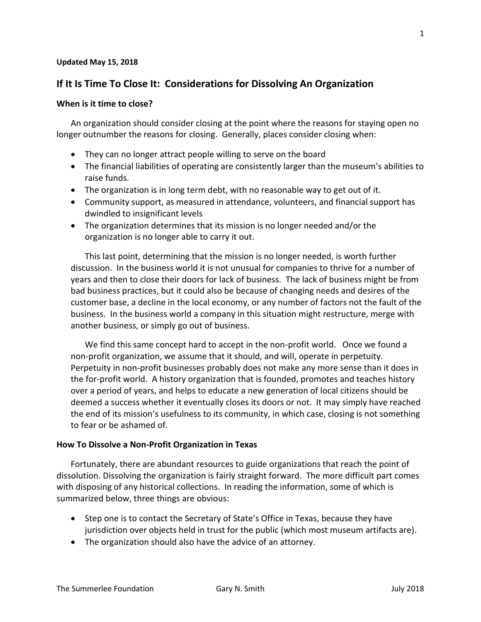#### **Updated May 15, 2018**

# **If It Is Time To Close It: Considerations for Dissolving An Organization**

#### **When is it time to close?**

An organization should consider closing at the point where the reasons for staying open no longer outnumber the reasons for closing. Generally, places consider closing when:

- They can no longer attract people willing to serve on the board
- The financial liabilities of operating are consistently larger than the museum's abilities to raise funds.
- The organization is in long term debt, with no reasonable way to get out of it.
- Community support, as measured in attendance, volunteers, and financial support has dwindled to insignificant levels
- The organization determines that its mission is no longer needed and/or the organization is no longer able to carry it out.

This last point, determining that the mission is no longer needed, is worth further discussion. In the business world it is not unusual for companies to thrive for a number of years and then to close their doors for lack of business. The lack of business might be from bad business practices, but it could also be because of changing needs and desires of the customer base, a decline in the local economy, or any number of factors not the fault of the business. In the business world a company in this situation might restructure, merge with another business, or simply go out of business.

We find this same concept hard to accept in the non-profit world. Once we found a non-profit organization, we assume that it should, and will, operate in perpetuity. Perpetuity in non-profit businesses probably does not make any more sense than it does in the for-profit world. A history organization that is founded, promotes and teaches history over a period of years, and helps to educate a new generation of local citizens should be deemed a success whether it eventually closes its doors or not. It may simply have reached the end of its mission's usefulness to its community, in which case, closing is not something to fear or be ashamed of.

### **How To Dissolve a Non-Profit Organization in Texas**

Fortunately, there are abundant resources to guide organizations that reach the point of dissolution. Dissolving the organization is fairly straight forward. The more difficult part comes with disposing of any historical collections. In reading the information, some of which is summarized below, three things are obvious:

- Step one is to contact the Secretary of State's Office in Texas, because they have jurisdiction over objects held in trust for the public (which most museum artifacts are).
- The organization should also have the advice of an attorney.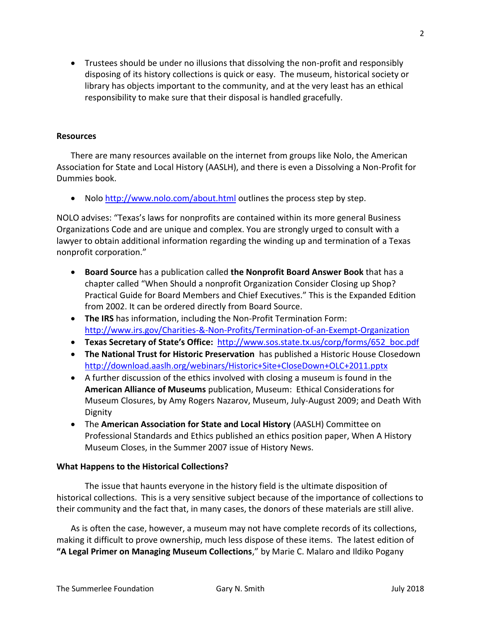• Trustees should be under no illusions that dissolving the non-profit and responsibly disposing of its history collections is quick or easy. The museum, historical society or library has objects important to the community, and at the very least has an ethical responsibility to make sure that their disposal is handled gracefully.

### **Resources**

There are many resources available on the internet from groups like Nolo, the American Association for State and Local History (AASLH), and there is even a Dissolving a Non-Profit for Dummies book.

• Nolo <http://www.nolo.com/about.html> outlines the process step by step.

NOLO advises: "Texas's laws for nonprofits are contained within its more general Business Organizations Code and are unique and complex. You are strongly urged to consult with a lawyer to obtain additional information regarding the winding up and termination of a Texas nonprofit corporation."

- **Board Source** has a publication called **the Nonprofit Board Answer Book** that has a chapter called "When Should a nonprofit Organization Consider Closing up Shop? Practical Guide for Board Members and Chief Executives." This is the Expanded Edition from 2002. It can be ordered directly from Board Source.
- **The IRS** has information, including the Non-Profit Termination Form: <http://www.irs.gov/Charities-&-Non-Profits/Termination-of-an-Exempt-Organization>
- **Texas Secretary of State's Office:** [http://www.sos.state.tx.us/corp/forms/652\\_boc.pdf](http://www.sos.state.tx.us/corp/forms/652_boc.pdf)
- **The National Trust for Historic Preservation** has published a Historic House Closedown <http://download.aaslh.org/webinars/Historic+Site+CloseDown+OLC+2011.pptx>
- A further discussion of the ethics involved with closing a museum is found in the **American Alliance of Museums** publication, Museum: Ethical Considerations for Museum Closures, by Amy Rogers Nazarov, Museum, July-August 2009; and Death With Dignity
- The **American Association for State and Local History** (AASLH) Committee on Professional Standards and Ethics published an ethics position paper, When A History Museum Closes, in the Summer 2007 issue of History News.

## **What Happens to the Historical Collections?**

The issue that haunts everyone in the history field is the ultimate disposition of historical collections. This is a very sensitive subject because of the importance of collections to their community and the fact that, in many cases, the donors of these materials are still alive.

As is often the case, however, a museum may not have complete records of its collections, making it difficult to prove ownership, much less dispose of these items. The latest edition of **"A Legal Primer on Managing Museum Collections**," by Marie C. Malaro and Ildiko Pogany